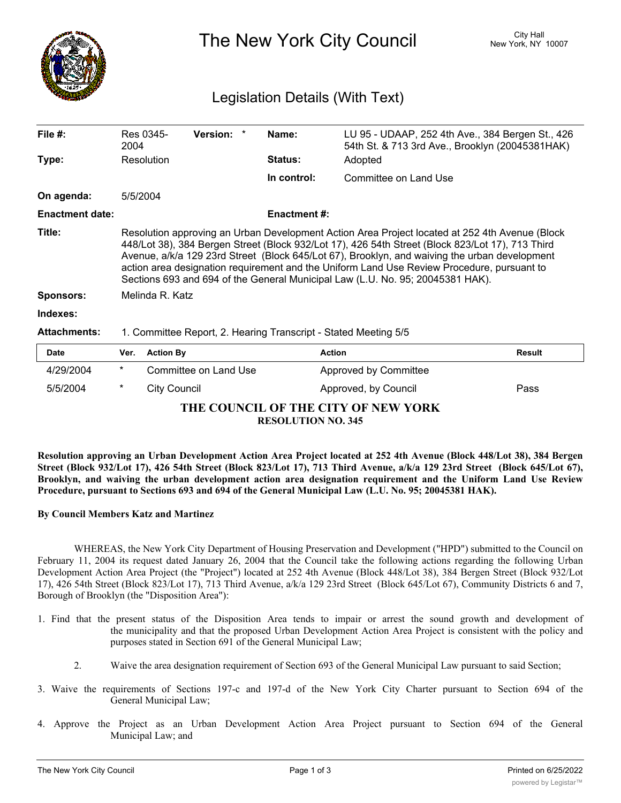

The New York City Council New York, NY 10007

## Legislation Details (With Text)

| File $#$ :             | Res 0345-<br>2004                                                                                                                                                                                                                                                                                                                                                                                                                                                                   | <b>Version:</b> | Name:          | LU 95 - UDAAP, 252 4th Ave., 384 Bergen St., 426<br>54th St. & 713 3rd Ave., Brooklyn (20045381HAK) |        |  |
|------------------------|-------------------------------------------------------------------------------------------------------------------------------------------------------------------------------------------------------------------------------------------------------------------------------------------------------------------------------------------------------------------------------------------------------------------------------------------------------------------------------------|-----------------|----------------|-----------------------------------------------------------------------------------------------------|--------|--|
| Type:                  | Resolution                                                                                                                                                                                                                                                                                                                                                                                                                                                                          |                 | <b>Status:</b> | Adopted                                                                                             |        |  |
|                        |                                                                                                                                                                                                                                                                                                                                                                                                                                                                                     |                 | In control:    | Committee on Land Use                                                                               |        |  |
| On agenda:             | 5/5/2004                                                                                                                                                                                                                                                                                                                                                                                                                                                                            |                 |                |                                                                                                     |        |  |
| <b>Enactment date:</b> | <b>Enactment #:</b>                                                                                                                                                                                                                                                                                                                                                                                                                                                                 |                 |                |                                                                                                     |        |  |
| Title:                 | Resolution approving an Urban Development Action Area Project located at 252 4th Avenue (Block<br>448/Lot 38), 384 Bergen Street (Block 932/Lot 17), 426 54th Street (Block 823/Lot 17), 713 Third<br>Avenue, a/k/a 129 23rd Street (Block 645/Lot 67), Brooklyn, and waiving the urban development<br>action area designation requirement and the Uniform Land Use Review Procedure, pursuant to<br>Sections 693 and 694 of the General Municipal Law (L.U. No. 95; 20045381 HAK). |                 |                |                                                                                                     |        |  |
| <b>Sponsors:</b>       | Melinda R. Katz                                                                                                                                                                                                                                                                                                                                                                                                                                                                     |                 |                |                                                                                                     |        |  |
| Indexes:               |                                                                                                                                                                                                                                                                                                                                                                                                                                                                                     |                 |                |                                                                                                     |        |  |
| <b>Attachments:</b>    | 1. Committee Report, 2. Hearing Transcript - Stated Meeting 5/5                                                                                                                                                                                                                                                                                                                                                                                                                     |                 |                |                                                                                                     |        |  |
| <b>Date</b>            | <b>Action By</b><br>Ver.                                                                                                                                                                                                                                                                                                                                                                                                                                                            |                 |                | <b>Action</b>                                                                                       | Result |  |

| <b>Date</b>                                                      |        | Ver. Action By        | <b>Action</b>                | <b>Result</b> |  |  |  |  |
|------------------------------------------------------------------|--------|-----------------------|------------------------------|---------------|--|--|--|--|
| 4/29/2004                                                        | $\ast$ | Committee on Land Use | <b>Approved by Committee</b> |               |  |  |  |  |
| 5/5/2004                                                         |        | City Council          | Approved, by Council         | Pass          |  |  |  |  |
| THE COUNCIL OF THE CITY OF NEW YORK<br><b>RESOLUTION NO. 345</b> |        |                       |                              |               |  |  |  |  |

Resolution approving an Urban Development Action Area Project located at 252 4th Avenue (Block 448/Lot 38), 384 Bergen Street (Block 932/Lot 17), 426 54th Street (Block 823/Lot 17), 713 Third Avenue, a/k/a 129 23rd Street (Block 645/Lot 67), **Brooklyn, and waiving the urban development action area designation requirement and the Uniform Land Use Review Procedure, pursuant to Sections 693 and 694 of the General Municipal Law (L.U. No. 95; 20045381 HAK).**

## **By Council Members Katz and Martinez**

WHEREAS, the New York City Department of Housing Preservation and Development ("HPD") submitted to the Council on February 11, 2004 its request dated January 26, 2004 that the Council take the following actions regarding the following Urban Development Action Area Project (the "Project") located at 252 4th Avenue (Block 448/Lot 38), 384 Bergen Street (Block 932/Lot 17), 426 54th Street (Block 823/Lot 17), 713 Third Avenue, a/k/a 129 23rd Street (Block 645/Lot 67), Community Districts 6 and 7, Borough of Brooklyn (the "Disposition Area"):

- 1. Find that the present status of the Disposition Area tends to impair or arrest the sound growth and development of the municipality and that the proposed Urban Development Action Area Project is consistent with the policy and purposes stated in Section 691 of the General Municipal Law;
	- 2. Waive the area designation requirement of Section 693 of the General Municipal Law pursuant to said Section;
- 3. Waive the requirements of Sections 197-c and 197-d of the New York City Charter pursuant to Section 694 of the General Municipal Law;
- 4. Approve the Project as an Urban Development Action Area Project pursuant to Section 694 of the General Municipal Law; and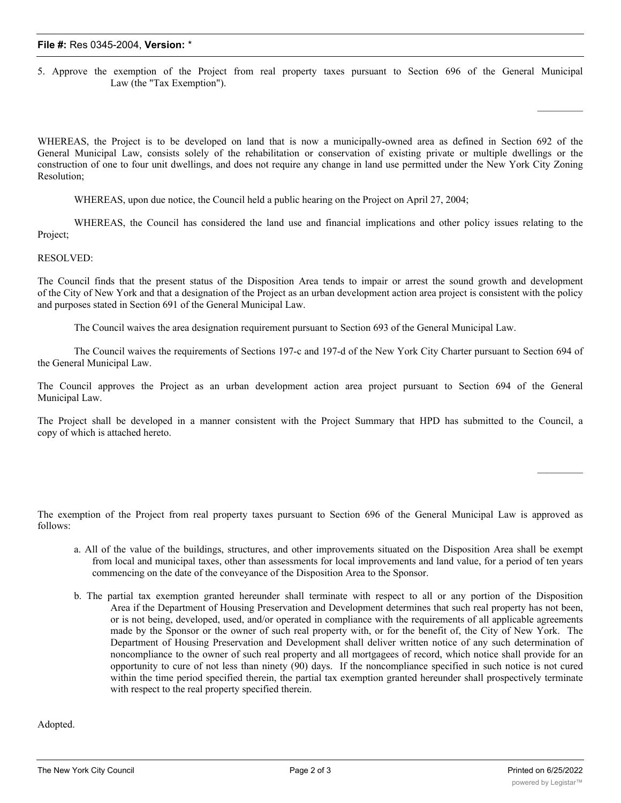## **File #:** Res 0345-2004, **Version:** \*

5. Approve the exemption of the Project from real property taxes pursuant to Section 696 of the General Municipal Law (the "Tax Exemption").

WHEREAS, the Project is to be developed on land that is now a municipally-owned area as defined in Section 692 of the General Municipal Law, consists solely of the rehabilitation or conservation of existing private or multiple dwellings or the construction of one to four unit dwellings, and does not require any change in land use permitted under the New York City Zoning Resolution;

WHEREAS, upon due notice, the Council held a public hearing on the Project on April 27, 2004;

WHEREAS, the Council has considered the land use and financial implications and other policy issues relating to the Project;

## RESOLVED:

The Council finds that the present status of the Disposition Area tends to impair or arrest the sound growth and development of the City of New York and that a designation of the Project as an urban development action area project is consistent with the policy and purposes stated in Section 691 of the General Municipal Law.

The Council waives the area designation requirement pursuant to Section 693 of the General Municipal Law.

The Council waives the requirements of Sections 197-c and 197-d of the New York City Charter pursuant to Section 694 of the General Municipal Law.

The Council approves the Project as an urban development action area project pursuant to Section 694 of the General Municipal Law.

The Project shall be developed in a manner consistent with the Project Summary that HPD has submitted to the Council, a copy of which is attached hereto.

The exemption of the Project from real property taxes pursuant to Section 696 of the General Municipal Law is approved as follows:

- a. All of the value of the buildings, structures, and other improvements situated on the Disposition Area shall be exempt from local and municipal taxes, other than assessments for local improvements and land value, for a period of ten years commencing on the date of the conveyance of the Disposition Area to the Sponsor.
- b. The partial tax exemption granted hereunder shall terminate with respect to all or any portion of the Disposition Area if the Department of Housing Preservation and Development determines that such real property has not been, or is not being, developed, used, and/or operated in compliance with the requirements of all applicable agreements made by the Sponsor or the owner of such real property with, or for the benefit of, the City of New York. The Department of Housing Preservation and Development shall deliver written notice of any such determination of noncompliance to the owner of such real property and all mortgagees of record, which notice shall provide for an opportunity to cure of not less than ninety (90) days. If the noncompliance specified in such notice is not cured within the time period specified therein, the partial tax exemption granted hereunder shall prospectively terminate with respect to the real property specified therein.

Adopted.

 $\mathcal{L}_\text{max}$